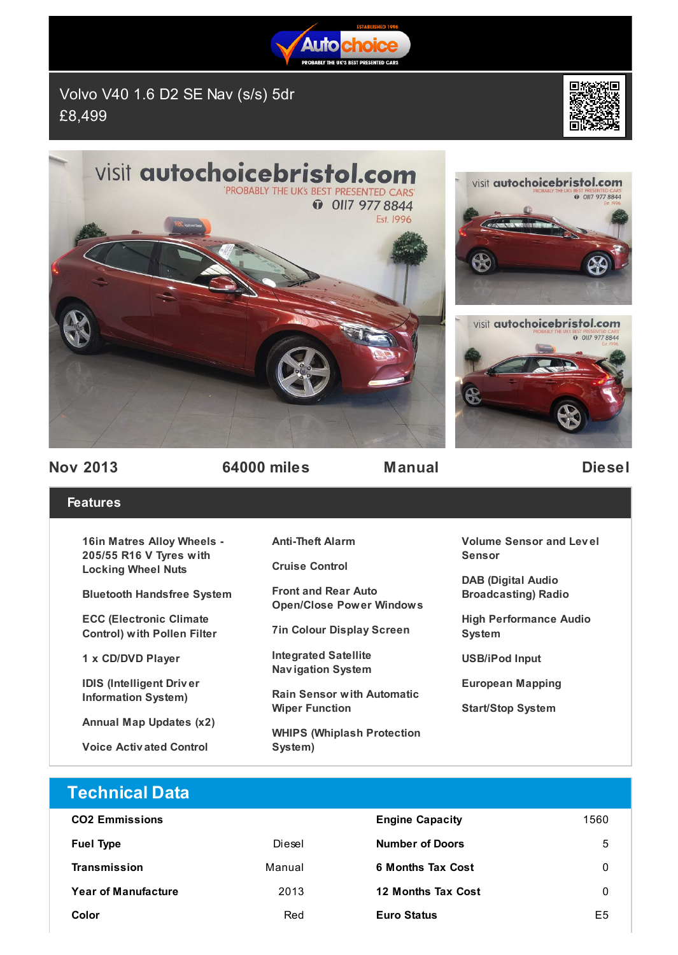

Volvo V40 1.6 D2 SE Nav (s/s) 5dr £8,499









**Nov 2013 64000 miles Manual Diesel**

## **Features**

**16in Matres Alloy Wheels - 205/55 R16 V Tyres with Locking Wheel Nuts**

**Bluetooth Handsfree System**

**ECC (Electronic Climate Control) with Pollen Filter**

**1 x CD/DVD Player**

**IDIS (Intelligent Driv er Information System)**

**Annual Map Updates (x2)**

**Voice Activ ated Control**

**Anti-Theft Alarm**

**Cruise Control**

**Front and Rear Auto Open/Close Power Windows**

**7in Colour Display Screen**

**Integrated Satellite Nav igation System**

**Rain Sensor with Automatic Wiper Function**

**WHIPS (Whiplash Protection System)**

**Volume Sensor and Lev el Sensor**

**DAB (Digital Audio Broadcasting) Radio**

**High Performance Audio System**

**USB/iPod Input**

**European Mapping**

**Start/Stop System**

| <b>Technical Data</b>      |        |                          |      |
|----------------------------|--------|--------------------------|------|
| <b>CO2 Emmissions</b>      |        | <b>Engine Capacity</b>   | 1560 |
| <b>Fuel Type</b>           | Diesel | <b>Number of Doors</b>   | 5    |
| Transmission               | Manual | <b>6 Months Tax Cost</b> | 0    |
| <b>Year of Manufacture</b> | 2013   | 12 Months Tax Cost       | 0    |
| Color                      | Red    | <b>Euro Status</b>       | E5   |